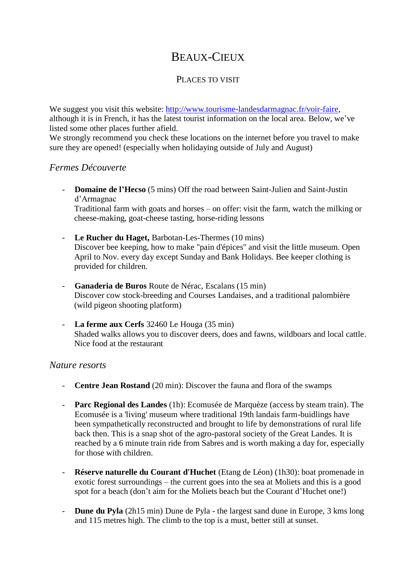# BEAUX-CIEUX

# PLACES TO VISIT

We suggest you visit this website: [http://www.tourisme-landesdarmagnac.fr/voir-faire,](http://www.tourisme-landesdarmagnac.fr/voir-faire) although it is in French, it has the latest tourist information on the local area. Below, we've listed some other places further afield.

We strongly recommend you check these locations on the internet before you travel to make sure they are opened! (especially when holidaying outside of July and August)

#### *Fermes Découverte*

- **Domaine de l'Hecso** (5 mins) Off the road between Saint-Julien and Saint-Justin d'Armagnac

Traditional farm with goats and horses – on offer: visit the farm, watch the milking or cheese-making, goat-cheese tasting, horse-riding lessons

- **Le Rucher du Haget,** Barbotan-Les-Thermes (10 mins) Discover bee keeping, how to make "pain d'épices" and visit the little museum. Open April to Nov. every day except Sunday and Bank Holidays. Bee keeper clothing is provided for children.
- **Ganaderia de Buros** Route de Nérac, Escalans (15 min) Discover cow stock-breeding and Courses Landaises, and a traditional palombière (wild pigeon shooting platform)
- **La ferme aux Cerfs** 32460 Le Houga (35 min) Shaded walks allows you to discover deers, does and fawns, wildboars and local cattle. Nice food at the restaurant

#### *Nature resorts*

- **Centre Jean Rostand** (20 min): Discover the fauna and flora of the swamps
- **Parc Regional des Landes** (1h): Ecomusée de Marquèze (access by steam train). The Ecomusée is a 'living' museum where traditional 19th landais farm-buidlings have been sympathetically reconstructed and brought to life by demonstrations of rural life back then. This is a snap shot of the agro-pastoral society of the Great Landes. It is reached by a 6 minute train ride from Sabres and is worth making a day for, especially for those with children.
- **Réserve naturelle du Courant d'Huchet** (Etang de Léon) (1h30): boat promenade in exotic forest surroundings – the current goes into the sea at Moliets and this is a good spot for a beach (don't aim for the Moliets beach but the Courant d'Huchet one!)
- **Dune du Pyla** (2h15 min) Dune de Pyla the largest sand dune in Europe, 3 kms long and 115 metres high. The climb to the top is a must, better still at sunset.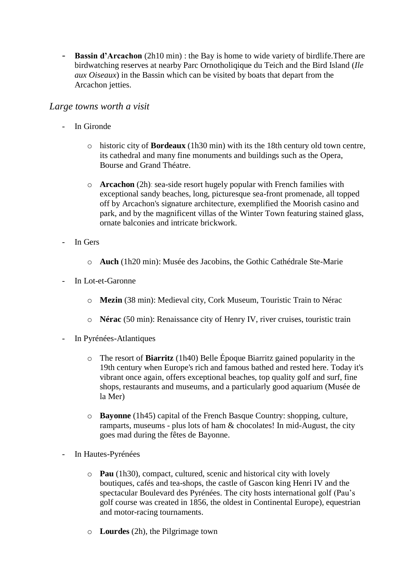- **Bassin d'Arcachon** (2h10 min) : the Bay is home to wide variety of birdlife.There are birdwatching reserves at nearby Parc Ornotholiqique du Teich and the Bird Island (*Ile aux Oiseaux*) in the Bassin which can be visited by boats that depart from the Arcachon jetties.

#### *Large towns worth a visit*

- In Gironde
	- o historic city of **Bordeaux** (1h30 min) with its the 18th century old town centre, its cathedral and many fine monuments and buildings such as the Opera, Bourse and Grand Théatre.
	- o **Arcachon** (2h): sea-side resort hugely popular with French families with exceptional sandy beaches, long, picturesque sea-front promenade, all topped off by Arcachon's signature architecture, exemplified the Moorish casino and park, and by the magnificent villas of the Winter Town featuring stained glass, ornate balconies and intricate brickwork.
- In Gers
	- o **Auch** (1h20 min): Musée des Jacobins, the Gothic Cathédrale Ste-Marie
- In Lot-et-Garonne
	- o **Mezin** (38 min): Medieval city, Cork Museum, Touristic Train to Nérac
	- o **Nérac** (50 min): Renaissance city of Henry IV, river cruises, touristic train
- In Pyrénées-Atlantiques
	- o The resort of **Biarritz** (1h40) Belle Époque Biarritz gained popularity in the 19th century when Europe's rich and famous bathed and rested here. Today it's vibrant once again, offers exceptional beaches, top quality golf and surf, fine shops, restaurants and museums, and a particularly good aquarium (Musée de la Mer)
	- o **Bayonne** (1h45) capital of the French Basque Country: shopping, culture, ramparts, museums - plus lots of ham  $\&$  chocolates! In mid-August, the city goes mad during the fêtes de Bayonne.
- In Hautes-Pyrénées
	- o **Pau** (1h30), compact, cultured, scenic and historical city with lovely boutiques, cafés and tea-shops, the castle of Gascon king Henri IV and the spectacular Boulevard des Pyrénées. The city hosts international golf (Pau's golf course was created in 1856, the oldest in Continental Europe), equestrian and motor-racing tournaments.
	- o **Lourdes** (2h), the Pilgrimage town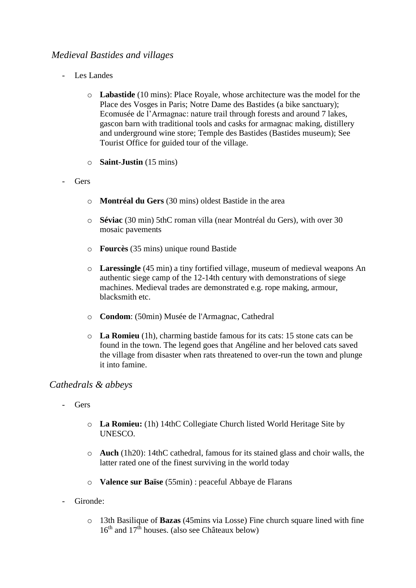# *Medieval Bastides and villages*

- Les Landes
	- o **Labastide** (10 mins): Place Royale, whose architecture was the model for the Place des Vosges in Paris; Notre Dame des Bastides (a bike sanctuary); Ecomusée de l'Armagnac: nature trail through forests and around 7 lakes, gascon barn with traditional tools and casks for armagnac making, distillery and underground wine store; Temple des Bastides (Bastides museum); See Tourist Office for guided tour of the village.
	- o **Saint-Justin** (15 mins)
- Gers
	- o **Montréal du Gers** (30 mins) oldest Bastide in the area
	- o **Séviac** (30 min) 5thC roman villa (near Montréal du Gers), with over 30 mosaic pavements
	- o **Fourcès** (35 mins) unique round Bastide
	- o **Laressingle** (45 min) a tiny fortified village, museum of medieval weapons An authentic siege camp of the 12-14th century with demonstrations of siege machines. Medieval trades are demonstrated e.g. rope making, armour, blacksmith etc.
	- o **Condom**: (50min) Musée de l'Armagnac, Cathedral
	- o **La Romieu** (1h), charming bastide famous for its cats: 15 stone cats can be found in the town. The legend goes that Angéline and her beloved cats saved the village from disaster when rats threatened to over-run the town and plunge it into famine.

## *Cathedrals & abbeys*

- Gers
	- o **La Romieu:** (1h) 14thC Collegiate Church listed World Heritage Site by UNESCO.
	- o **Auch** (1h20): 14thC cathedral, famous for its stained glass and choir walls, the latter rated one of the finest surviving in the world today
	- o **Valence sur Baïse** (55min) : peaceful Abbaye de Flarans
- Gironde:
	- o 13th Basilique of **Bazas** (45mins via Losse) Fine church square lined with fine  $16<sup>th</sup>$  and  $17<sup>th</sup>$  houses. (also see Châteaux below)